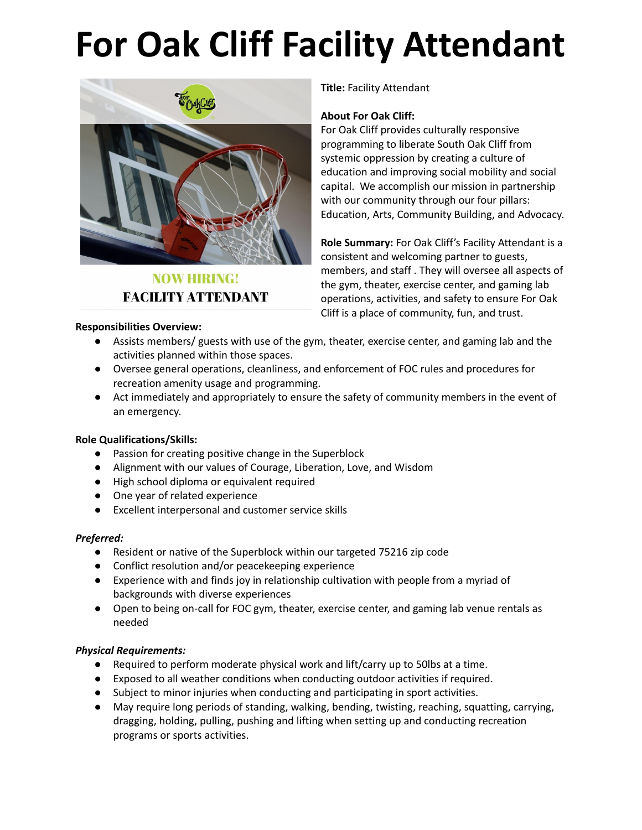# **For Oak Cliff Facility Attendant**



# **NOW HIRING! FACILITY ATTENDANT**

#### **Responsibilities Overview:**

**Title:** Facility Attendant

#### **About For Oak Cliff:**

For Oak Cliff provides culturally responsive programming to liberate South Oak Cliff from systemic oppression by creating a culture of education and improving social mobility and social capital. We accomplish our mission in partnership with our community through our four pillars: Education, Arts, Community Building, and Advocacy.

**Role Summary:** For Oak Cliff's Facility Attendant is a consistent and welcoming partner to guests, members, and staff . They will oversee all aspects of the gym, theater, exercise center, and gaming lab operations, activities, and safety to ensure For Oak Cliff is a place of community, fun, and trust.

- Assists members/ guests with use of the gym, theater, exercise center, and gaming lab and the activities planned within those spaces.
- Oversee general operations, cleanliness, and enforcement of FOC rules and procedures for recreation amenity usage and programming.
- Act immediately and appropriately to ensure the safety of community members in the event of an emergency.

## **Role Qualifications/Skills:**

- Passion for creating positive change in the Superblock
- Alignment with our values of Courage, Liberation, Love, and Wisdom
- High school diploma or equivalent required
- One year of related experience
- Excellent interpersonal and customer service skills

## *Preferred:*

- Resident or native of the Superblock within our targeted 75216 zip code
- Conflict resolution and/or peacekeeping experience
- Experience with and finds joy in relationship cultivation with people from a myriad of backgrounds with diverse experiences
- Open to being on-call for FOC gym, theater, exercise center, and gaming lab venue rentals as needed

## *Physical Requirements:*

- Required to perform moderate physical work and lift/carry up to 50lbs at a time.
- Exposed to all weather conditions when conducting outdoor activities if required.
- Subject to minor injuries when conducting and participating in sport activities.
- May require long periods of standing, walking, bending, twisting, reaching, squatting, carrying, dragging, holding, pulling, pushing and lifting when setting up and conducting recreation programs or sports activities.